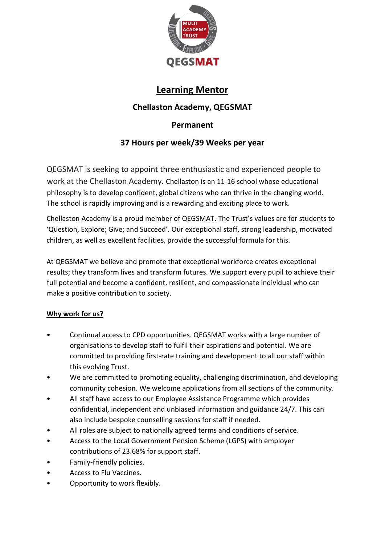

# **Learning Mentor**

# **Chellaston Academy, QEGSMAT**

## **Permanent**

## **37 Hours per week/39 Weeks per year**

QEGSMAT is seeking to appoint three enthusiastic and experienced people to work at the Chellaston Academy. Chellaston is an 11-16 school whose educational philosophy is to develop confident, global citizens who can thrive in the changing world. The school is rapidly improving and is a rewarding and exciting place to work.

Chellaston Academy is a proud member of QEGSMAT. The Trust's values are for students to 'Question, Explore; Give; and Succeed'. Our exceptional staff, strong leadership, motivated children, as well as excellent facilities, provide the successful formula for this.

At QEGSMAT we believe and promote that exceptional workforce creates exceptional results; they transform lives and transform futures. We support every pupil to achieve their full potential and become a confident, resilient, and compassionate individual who can make a positive contribution to society.

## **Why work for us?**

- Continual access to CPD opportunities. QEGSMAT works with a large number of organisations to develop staff to fulfil their aspirations and potential. We are committed to providing first-rate training and development to all our staff within this evolving Trust.
- We are committed to promoting equality, challenging discrimination, and developing community cohesion. We welcome applications from all sections of the community.
- All staff have access to our Employee Assistance Programme which provides confidential, independent and unbiased information and guidance 24/7. This can also include bespoke counselling sessions for staff if needed.
- All roles are subject to nationally agreed terms and conditions of service.
- Access to the Local Government Pension Scheme (LGPS) with employer contributions of 23.68% for support staff.
- Family-friendly policies.
- Access to Flu Vaccines.
- Opportunity to work flexibly.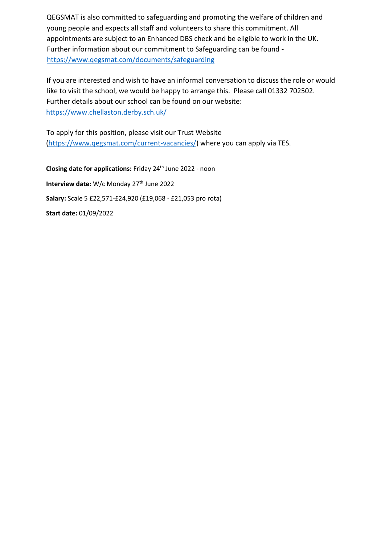QEGSMAT is also committed to safeguarding and promoting the welfare of children and young people and expects all staff and volunteers to share this commitment. All appointments are subject to an Enhanced DBS check and be eligible to work in the UK. Further information about our commitment to Safeguarding can be found <https://www.qegsmat.com/documents/safeguarding>

If you are interested and wish to have an informal conversation to discuss the role or would like to visit the school, we would be happy to arrange this. Please call 01332 702502. Further details about our school can be found on our website: <https://www.chellaston.derby.sch.uk/>

To apply for this position, please visit our Trust Website [\(https://www.qegsmat.com/current-vacancies/\)](https://www.qegsmat.com/current-vacancies/) where you can apply via TES.

**Closing date for applications:** Friday 24th June 2022 - noon **Interview date:** W/c Monday 27<sup>th</sup> June 2022 **Salary:** Scale 5 £22,571-£24,920 (£19,068 - £21,053 pro rota) **Start date:** 01/09/2022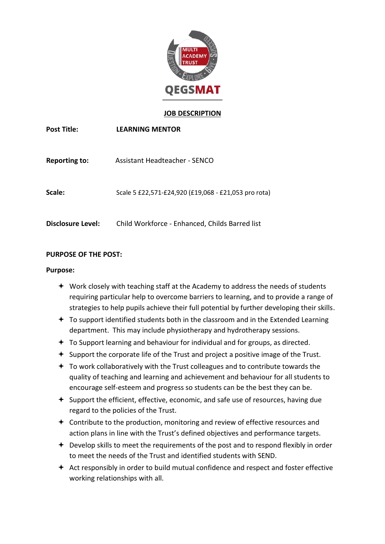

#### **JOB DESCRIPTION**

| <b>Post Title:</b>       | <b>LEARNING MENTOR</b>                               |
|--------------------------|------------------------------------------------------|
| <b>Reporting to:</b>     | Assistant Headteacher - SENCO                        |
| Scale:                   | Scale 5 £22,571-£24,920 (£19,068 - £21,053 pro rota) |
| <b>Disclosure Level:</b> | Child Workforce - Enhanced, Childs Barred list       |

#### **PURPOSE OF THE POST:**

#### **Purpose:**

- Work closely with teaching staff at the Academy to address the needs of students requiring particular help to overcome barriers to learning, and to provide a range of strategies to help pupils achieve their full potential by further developing their skills.
- $\div$  To support identified students both in the classroom and in the Extended Learning department. This may include physiotherapy and hydrotherapy sessions.
- $\div$  To Support learning and behaviour for individual and for groups, as directed.
- $\div$  Support the corporate life of the Trust and project a positive image of the Trust.
- $\div$  To work collaboratively with the Trust colleagues and to contribute towards the quality of teaching and learning and achievement and behaviour for all students to encourage self-esteem and progress so students can be the best they can be.
- $\triangle$  Support the efficient, effective, economic, and safe use of resources, having due regard to the policies of the Trust.
- $\triangle$  Contribute to the production, monitoring and review of effective resources and action plans in line with the Trust's defined objectives and performance targets.
- **←** Develop skills to meet the requirements of the post and to respond flexibly in order to meet the needs of the Trust and identified students with SEND.
- $\triangleq$  Act responsibly in order to build mutual confidence and respect and foster effective working relationships with all.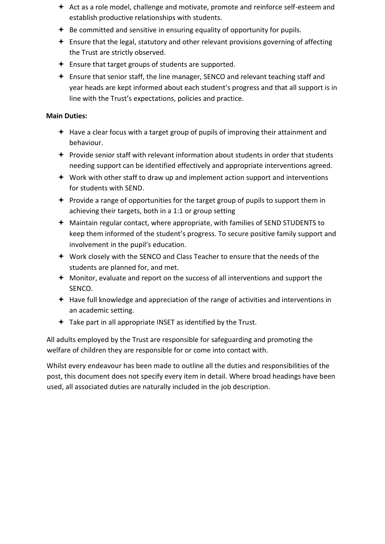- $\triangleq$  Act as a role model, challenge and motivate, promote and reinforce self-esteem and establish productive relationships with students.
- $\triangleq$  Be committed and sensitive in ensuring equality of opportunity for pupils.
- $\triangleq$  Ensure that the legal, statutory and other relevant provisions governing of affecting the Trust are strictly observed.
- $\div$  Ensure that target groups of students are supported.
- Ensure that senior staff, the line manager, SENCO and relevant teaching staff and year heads are kept informed about each student's progress and that all support is in line with the Trust's expectations, policies and practice.

#### **Main Duties:**

- $+$  Have a clear focus with a target group of pupils of improving their attainment and behaviour.
- $\triangle$  Provide senior staff with relevant information about students in order that students needing support can be identified effectively and appropriate interventions agreed.
- $\div$  Work with other staff to draw up and implement action support and interventions for students with SEND.
- $\div$  Provide a range of opportunities for the target group of pupils to support them in achieving their targets, both in a 1:1 or group setting
- Maintain regular contact, where appropriate, with families of SEND STUDENTS to keep them informed of the student's progress. To secure positive family support and involvement in the pupil's education.
- Work closely with the SENCO and Class Teacher to ensure that the needs of the students are planned for, and met.
- Monitor, evaluate and report on the success of all interventions and support the SENCO.
- Have full knowledge and appreciation of the range of activities and interventions in an academic setting.
- $\div$  Take part in all appropriate INSET as identified by the Trust.

All adults employed by the Trust are responsible for safeguarding and promoting the welfare of children they are responsible for or come into contact with.

Whilst every endeavour has been made to outline all the duties and responsibilities of the post, this document does not specify every item in detail. Where broad headings have been used, all associated duties are naturally included in the job description.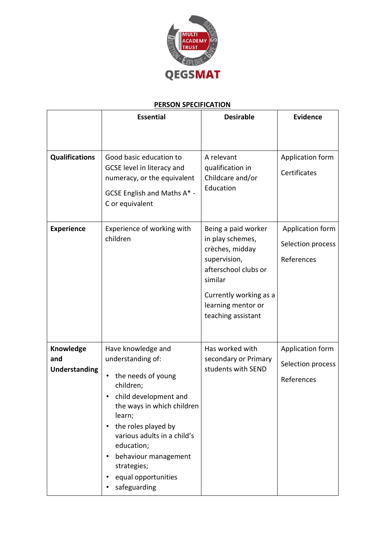

## **PERSON SPECIFICATION**

|                                          | <b>Essential</b>                                                                                                                                                                                                                                                                              | <b>Desirable</b>                                                                                                                                                                    | <b>Evidence</b>                                     |
|------------------------------------------|-----------------------------------------------------------------------------------------------------------------------------------------------------------------------------------------------------------------------------------------------------------------------------------------------|-------------------------------------------------------------------------------------------------------------------------------------------------------------------------------------|-----------------------------------------------------|
|                                          |                                                                                                                                                                                                                                                                                               |                                                                                                                                                                                     |                                                     |
| <b>Qualifications</b>                    | Good basic education to<br>GCSE level in literacy and<br>numeracy, or the equivalent<br>GCSE English and Maths A* -<br>C or equivalent                                                                                                                                                        | A relevant<br>qualification in<br>Childcare and/or<br>Education                                                                                                                     | Application form<br>Certificates                    |
| <b>Experience</b>                        | Experience of working with<br>children                                                                                                                                                                                                                                                        | Being a paid worker<br>in play schemes,<br>crèches, midday<br>supervision,<br>afterschool clubs or<br>similar<br>Currently working as a<br>learning mentor or<br>teaching assistant | Application form<br>Selection process<br>References |
| Knowledge<br>and<br><b>Understanding</b> | Have knowledge and<br>understanding of:<br>the needs of young<br>children;<br>child development and<br>the ways in which children<br>learn;<br>the roles played by<br>various adults in a child's<br>education;<br>behaviour management<br>strategies;<br>equal opportunities<br>safeguarding | Has worked with<br>secondary or Primary<br>students with SEND                                                                                                                       | Application form<br>Selection process<br>References |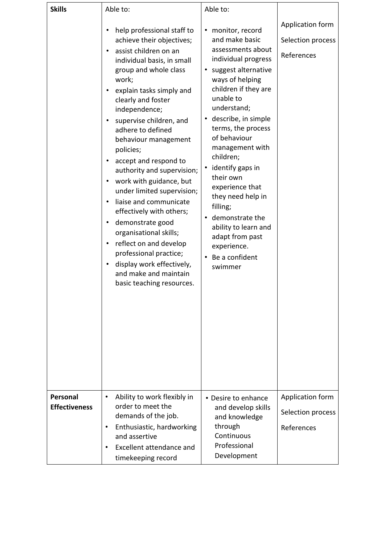| <b>Skills</b>        | Able to:                                                                                                                                                                                                                                                                                                                                                                                                                                                                                                                                                                                                                                                                                                                                                                                                | Able to:                                                                                                                                                                                                                                                                                                                                                                                                                                                                                                                         |                                                                         |
|----------------------|---------------------------------------------------------------------------------------------------------------------------------------------------------------------------------------------------------------------------------------------------------------------------------------------------------------------------------------------------------------------------------------------------------------------------------------------------------------------------------------------------------------------------------------------------------------------------------------------------------------------------------------------------------------------------------------------------------------------------------------------------------------------------------------------------------|----------------------------------------------------------------------------------------------------------------------------------------------------------------------------------------------------------------------------------------------------------------------------------------------------------------------------------------------------------------------------------------------------------------------------------------------------------------------------------------------------------------------------------|-------------------------------------------------------------------------|
| Personal             | help professional staff to<br>$\bullet$<br>achieve their objectives;<br>assist children on an<br>individual basis, in small<br>group and whole class<br>work;<br>explain tasks simply and<br>$\bullet$<br>clearly and foster<br>independence;<br>supervise children, and<br>adhere to defined<br>behaviour management<br>policies;<br>accept and respond to<br>$\bullet$<br>authority and supervision;<br>work with guidance, but<br>٠<br>under limited supervision;<br>liaise and communicate<br>$\bullet$<br>effectively with others;<br>demonstrate good<br>$\bullet$<br>organisational skills;<br>reflect on and develop<br>$\bullet$<br>professional practice;<br>display work effectively,<br>٠<br>and make and maintain<br>basic teaching resources.<br>Ability to work flexibly in<br>$\bullet$ | monitor, record<br>٠<br>and make basic<br>assessments about<br>individual progress<br>suggest alternative<br>$\bullet$<br>ways of helping<br>children if they are<br>unable to<br>understand;<br>describe, in simple<br>$\bullet$<br>terms, the process<br>of behaviour<br>management with<br>children;<br>identify gaps in<br>$\bullet$<br>their own<br>experience that<br>they need help in<br>filling;<br>demonstrate the<br>ability to learn and<br>adapt from past<br>experience.<br>Be a confident<br>$\bullet$<br>swimmer | Application form<br>Selection process<br>References<br>Application form |
| <b>Effectiveness</b> | order to meet the<br>demands of the job.<br>Enthusiastic, hardworking<br>$\bullet$<br>and assertive<br>Excellent attendance and<br>$\bullet$<br>timekeeping record                                                                                                                                                                                                                                                                                                                                                                                                                                                                                                                                                                                                                                      | • Desire to enhance<br>and develop skills<br>and knowledge<br>through<br>Continuous<br>Professional<br>Development                                                                                                                                                                                                                                                                                                                                                                                                               | Selection process<br>References                                         |